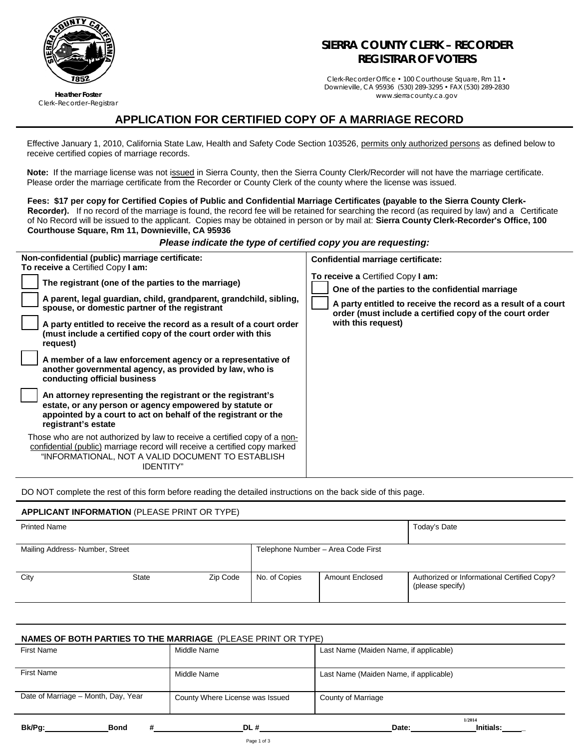

**Heather Foster**

# **SIERRA COUNTY CLERK – RECORDER REGISTRAR OF VOTERS**

Clerk-Recorder Office • 100 Courthouse Square, Rm 11 • Downieville, CA 95936 (530) 289-3295 • FAX (530) 289-2830 [www.sierracounty.ca.gov](http://www.placer.ca.gov/)

## Clerk–Recorder–Registrar **APPLICATION FOR CERTIFIED COPY OF A MARRIAGE RECORD**

Effective January 1, 2010, California State Law, Health and Safety Code Section 103526, permits only authorized persons as defined below to receive certified copies of marriage records.

**Note:** If the marriage license was not issued in Sierra County, then the Sierra County Clerk/Recorder will not have the marriage certificate. Please order the marriage certificate from the Recorder or County Clerk of the county where the license was issued.

**Fees: \$17 per copy for Certified Copies of Public and Confidential Marriage Certificates (payable to the Sierra County Clerk-Recorder).** If no record of the marriage is found, the record fee will be retained for searching the record (as required by law) and a Certificate of No Record will be issued to the applicant. Copies may be obtained in person or by mail at: **Sierra County Clerk-Recorder's Office, 100 Courthouse Square, Rm 11, Downieville, CA 95936** 

#### *Please indicate the type of certified copy you are requesting:*

| Non-confidential (public) marriage certificate:<br>To receive a Certified Copy I am:                                                                                                                                                                                                                                                                                                                                                                                                   | Confidential marriage certificate:                                                                                                                                                                                                            |
|----------------------------------------------------------------------------------------------------------------------------------------------------------------------------------------------------------------------------------------------------------------------------------------------------------------------------------------------------------------------------------------------------------------------------------------------------------------------------------------|-----------------------------------------------------------------------------------------------------------------------------------------------------------------------------------------------------------------------------------------------|
| The registrant (one of the parties to the marriage)<br>A parent, legal guardian, child, grandparent, grandchild, sibling,<br>spouse, or domestic partner of the registrant<br>A party entitled to receive the record as a result of a court order<br>(must include a certified copy of the court order with this<br>request)<br>A member of a law enforcement agency or a representative of<br>another governmental agency, as provided by law, who is<br>conducting official business | <b>To receive a Certified Copy I am:</b><br>One of the parties to the confidential marriage<br>A party entitled to receive the record as a result of a court<br>order (must include a certified copy of the court order<br>with this request) |
| An attorney representing the registrant or the registrant's<br>estate, or any person or agency empowered by statute or<br>appointed by a court to act on behalf of the registrant or the<br>registrant's estate                                                                                                                                                                                                                                                                        |                                                                                                                                                                                                                                               |
| Those who are not authorized by law to receive a certified copy of a non-<br>confidential (public) marriage record will receive a certified copy marked<br>"INFORMATIONAL, NOT A VALID DOCUMENT TO ESTABLISH<br><b>IDENTITY"</b>                                                                                                                                                                                                                                                       |                                                                                                                                                                                                                                               |

DO NOT complete the rest of this form before reading the detailed instructions on the back side of this page.

#### **APPLICANT INFORMATION** (PLEASE PRINT OR TYPE)

| <b>Printed Name</b>            |              |          |               |                                    | Today's Date                                                    |
|--------------------------------|--------------|----------|---------------|------------------------------------|-----------------------------------------------------------------|
|                                |              |          |               |                                    |                                                                 |
| Mailing Address-Number, Street |              |          |               | Telephone Number - Area Code First |                                                                 |
|                                |              |          |               |                                    |                                                                 |
| City                           | <b>State</b> | Zip Code | No. of Copies | <b>Amount Enclosed</b>             | Authorized or Informational Certified Copy?<br>(please specify) |

| NAMES OF BOTH PARTIES TO THE MARRIAGE (PLEASE PRINT OR TYPE) |                                 |                                        |
|--------------------------------------------------------------|---------------------------------|----------------------------------------|
| First Name                                                   | Middle Name                     | Last Name (Maiden Name, if applicable) |
|                                                              |                                 |                                        |
| First Name                                                   | Middle Name                     | Last Name (Maiden Name, if applicable) |
|                                                              |                                 |                                        |
| Date of Marriage - Month, Day, Year                          | County Where License was Issued | County of Marriage                     |
|                                                              |                                 |                                        |
|                                                              |                                 | 1/2014                                 |
| #<br>Bk/Pq:<br><b>Bond</b>                                   | DL#                             | <b>Initials:</b><br>Date:              |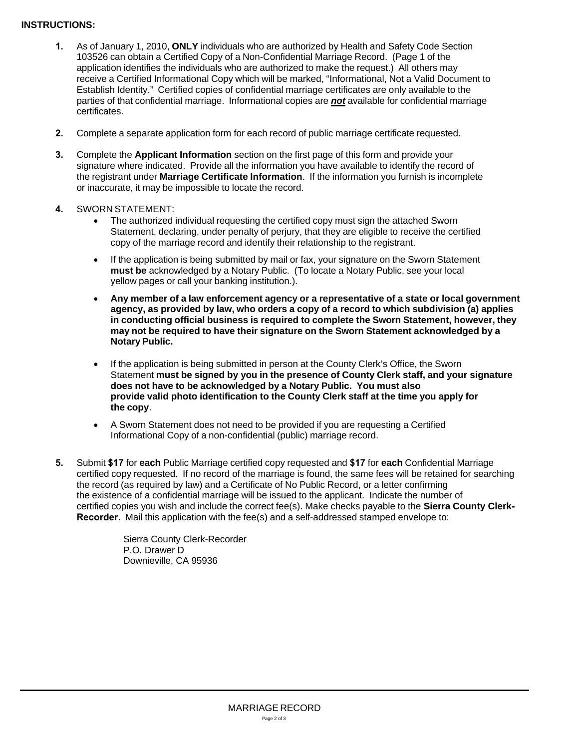## **INSTRUCTIONS:**

- **1.** As of January 1, 2010, **ONLY** individuals who are authorized by Health and Safety Code Section 103526 can obtain a Certified Copy of a Non-Confidential Marriage Record. (Page 1 of the application identifies the individuals who are authorized to make the request.) All others may receive a Certified Informational Copy which will be marked, "Informational, Not a Valid Document to Establish Identity." Certified copies of confidential marriage certificates are only available to the parties of that confidential marriage. Informational copies are *not* available for confidential marriage certificates.
- **2.** Complete a separate application form for each record of public marriage certificate requested.
- **3.** Complete the **Applicant Information** section on the first page of this form and provide your signature where indicated. Provide all the information you have available to identify the record of the registrant under **Marriage Certificate Information**. If the information you furnish is incomplete or inaccurate, it may be impossible to locate the record.
- **4.** SWORN STATEMENT:
	- The authorized individual requesting the certified copy must sign the attached Sworn Statement, declaring, under penalty of perjury, that they are eligible to receive the certified copy of the marriage record and identify their relationship to the registrant.
	- If the application is being submitted by mail or fax, your signature on the Sworn Statement **must be** acknowledged by a Notary Public. (To locate a Notary Public, see your local yellow pages or call your banking institution.).
	- **Any member of a law enforcement agency or a representative of a state or local government agency, as provided by law, who orders a copy of a record to which subdivision (a) applies in conducting official business is required to complete the Sworn Statement, however, they may not be required to have their signature on the Sworn Statement acknowledged by a Notary Public.**
	- If the application is being submitted in person at the County Clerk's Office, the Sworn Statement **must be signed by you in the presence of County Clerk staff, and your signature does not have to be acknowledged by a Notary Public. You must also provide valid photo identification to the County Clerk staff at the time you apply for the copy**.
	- A Sworn Statement does not need to be provided if you are requesting a Certified Informational Copy of a non-confidential (public) marriage record.
- **5.** Submit **\$17** for **each** Public Marriage certified copy requested and **\$17** for **each** Confidential Marriage certified copy requested. If no record of the marriage is found, the same fees will be retained for searching the record (as required by law) and a Certificate of No Public Record, or a letter confirming the existence of a confidential marriage will be issued to the applicant. Indicate the number of certified copies you wish and include the correct fee(s). Make checks payable to the **Sierra County Clerk-Recorder**. Mail this application with the fee(s) and a self-addressed stamped envelope to:

Sierra County Clerk-Recorder P.O. Drawer D Downieville, CA 95936